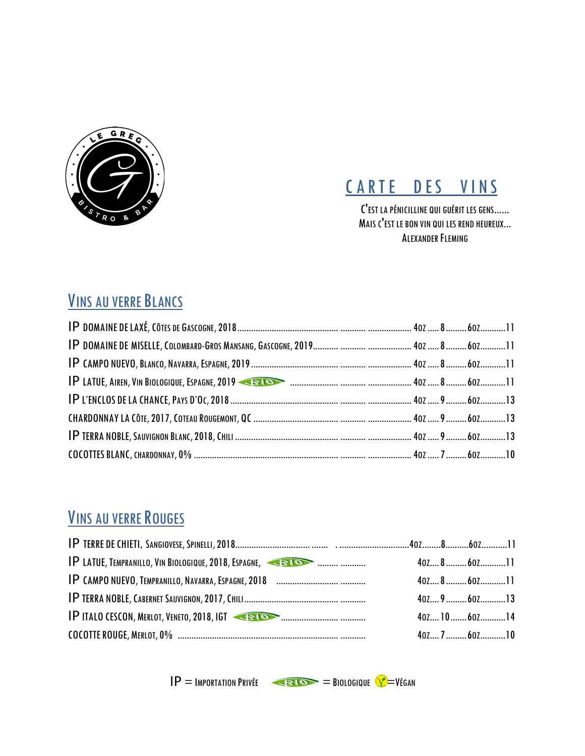



C'EST LA PÉNICILLINE QUI GUÉRIT LES GENS...... MAIS C'EST LE BON VIN QUI LES REND HEUREUX... ALEXANDER FLEMING

#### VINS AU VERRE BLANCS

#### VINS AU VERRE ROUGES

| <b>IP LATUE, TEMPRANILLO, VIN BIOLOGIQUE, 2018, ESPAGNE, ASSOCIAL EXPRESSION</b> |  |                                               |  |
|----------------------------------------------------------------------------------|--|-----------------------------------------------|--|
|                                                                                  |  |                                               |  |
|                                                                                  |  | $40$ $\ldots$ $9$ $\ldots$ $60$ $\ldots$ $13$ |  |
| <b>IP ITALO CESCON, MERLOT, VENETO, 2018, IGT CELOS AND CONTROLLER CONTROL</b>   |  | $40$ $\ldots$ $10$ $\ldots$ 60 $\ldots$ $14$  |  |
|                                                                                  |  | $40$ <sub>z</sub> $7$ 60 <sup>z</sup> 10      |  |

 $IP =$ IMPORTATION PRIVÉE  $=$ BIOSIQUE  $VI$ =VÉGAN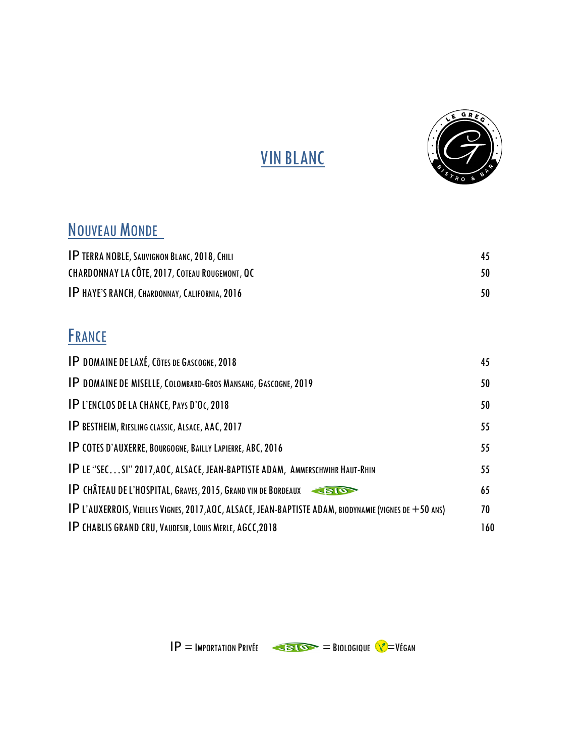

## VIN BLANC

#### NOUVEAU MONDE

| <b>IP TERRA NOBLE, SAUVIGNON BLANC, 2018, CHILI</b>   | 45  |
|-------------------------------------------------------|-----|
| <b>CHARDONNAY LA CÔTE, 2017, COTEAU ROUGEMONT, QC</b> | 50. |
| <b>IP HAYE'S RANCH, CHARDONNAY, CALIFORNIA, 2016</b>  |     |

#### **FRANCE**

| <b>IP DOMAINE DE LAXÉ, CÔTES DE GASCOGNE, 2018</b>                                                       | 45  |
|----------------------------------------------------------------------------------------------------------|-----|
| <b>IP DOMAINE DE MISELLE, COLOMBARD-GROS MANSANG, GASCOGNE, 2019</b>                                     | 50  |
| <b>IP L'ENCLOS DE LA CHANCE, PAYS D'OC, 2018</b>                                                         | 50  |
| IP BESTHEIM, RIESLING CLASSIC, ALSACE, AAC, 2017                                                         | 55  |
| <b>IP COTES D'AUXERRE, BOURGOGNE, BAILLY LAPIERRE, ABC, 2016</b>                                         | 55  |
| IP LE "SECSI" 2017, AOC, ALSACE, JEAN-BAPTISTE ADAM, AMMERSCHWIHR HAUT-RHIN                              | 55  |
| <b>IP CHÂTEAU DE L'HOSPITAL, GRAVES, 2015, GRAND VIN DE BORDEAUX</b><br><b>CRIOT</b>                     | 65  |
| $IP$ L'AUXERROIS, VIEILLES VIGNES, 2017, AOC, ALSACE, JEAN-BAPTISTE ADAM, BIODYNAMIE (VIGNES DE +50 ANS) | 70  |
| <b>IP CHABLIS GRAND CRU, VAUDESIR, LOUIS MERLE, AGCC, 2018</b>                                           | 160 |

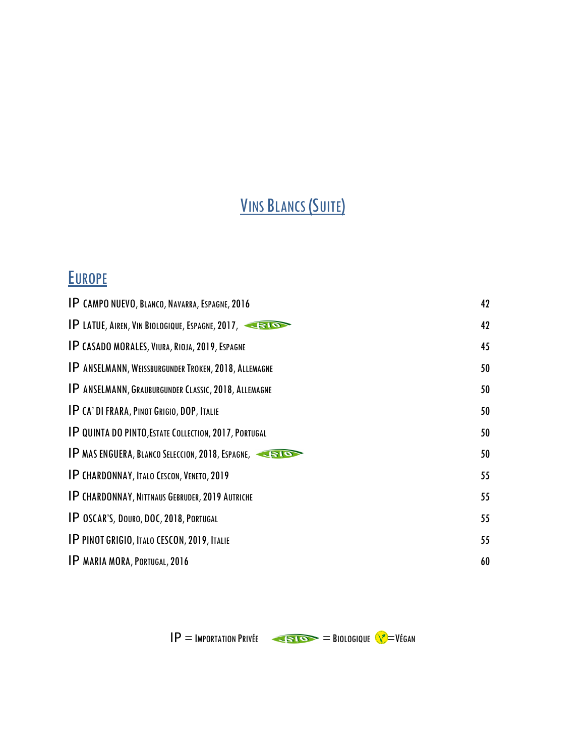## VINS BLANCS (SUITE)

#### **EUROPE**

 $IP =$ IMPORTATION PRIVÉE  $\leftarrow$ BIO $\rightarrow$  BIOLOGIQUE  $\sqrt{\rightarrow}$ VÉGAN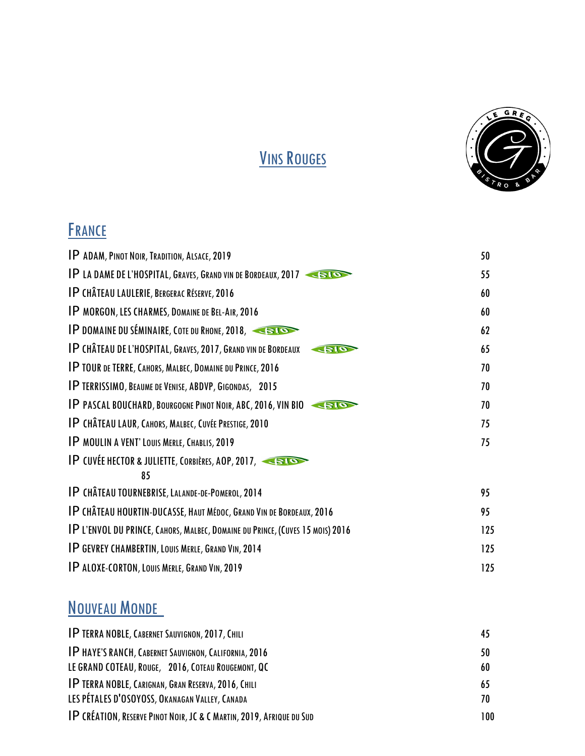

## VINS ROUGES

## **FRANCE**

| IP ADAM, PINOT NOIR, TRADITION, ALSACE, 2019                                         | 50  |
|--------------------------------------------------------------------------------------|-----|
|                                                                                      |     |
| <b>IP LA DAME DE L'HOSPITAL, GRAVES, GRAND VIN DE BORDEAUX, 2017</b>                 | 55  |
| <b>IP CHÂTEAU LAULERIE, BERGERAC RÉSERVE, 2016</b>                                   | 60  |
| IP MORGON, LES CHARMES, DOMAINE DE BEL-AIR, 2016                                     | 60  |
| <b>IP DOMAINE DU SÉMINAIRE, COTE DU RHONE, 2018, ESTON</b>                           | 62  |
| <b>IP CHÂTEAU DE L'HOSPITAL, GRAVES, 2017, GRAND VIN DE BORDEAUX</b><br><b>SIO</b>   | 65  |
| <b>IP TOUR DE TERRE, CAHORS, MALBEC, DOMAINE DU PRINCE, 2016</b>                     | 70  |
| <b>IP TERRISSIMO, BEAUME DE VENISE, ABDVP, GIGONDAS, 2015</b>                        | 70  |
| <b>IP PASCAL BOUCHARD, BOURGOGNE PINOT NOIR, ABC, 2016, VIN BIO</b>                  | 70  |
| <b>IP CHÂTEAU LAUR, CAHORS, MALBEC, CUVÉE PRESTIGE, 2010</b>                         | 75  |
| IP MOULIN A VENT' LOUIS MERLE, CHABLIS, 2019                                         | 75  |
| IP CUVÉE HECTOR & JULIETTE, CORBIÈRES, AOP, 2017,                                    |     |
| 85                                                                                   |     |
| <b>IP CHÂTEAU TOURNEBRISE, LALANDE-DE-POMEROL, 2014</b>                              | 95  |
| <b>IP CHÂTEAU HOURTIN-DUCASSE, HAUT MÉDOC, GRAND VIN DE BORDEAUX, 2016</b>           | 95  |
| <b>IP L'ENVOL DU PRINCE, CAHORS, MALBEC, DOMAINE DU PRINCE, (CUVES 15 MOIS) 2016</b> | 125 |
| <b>IP GEVREY CHAMBERTIN, LOUIS MERLE, GRAND VIN, 2014</b>                            | 125 |
| <b>IP ALOXE-CORTON, LOUIS MERLE, GRAND VIN, 2019</b>                                 | 125 |
|                                                                                      |     |

## NOUVEAU MONDE

| <b>IP TERRA NOBLE, CABERNET SAUVIGNON, 2017, CHILI</b>               | 45  |
|----------------------------------------------------------------------|-----|
| IP HAYE'S RANCH, CABERNET SAUVIGNON, CALIFORNIA, 2016                | 50  |
| LE GRAND COTEAU, ROUGE, 2016, COTEAU ROUGEMONT, QC                   | 60  |
| IP TERRA NOBLE, CARIGNAN, GRAN RESERVA, 2016, CHILI                  | 65  |
| LES PÉTALES D'OSOYOSS, OKANAGAN VALLEY, CANADA                       | 70. |
| IP CRÉATION, RESERVE PINOT NOIR, JC & C MARTIN, 2019, AFRIQUE DU SUD | 100 |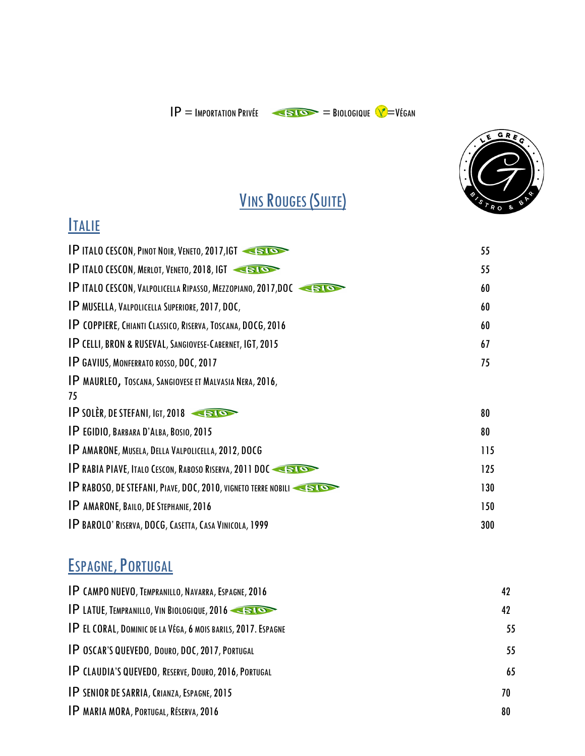



## VINS ROUGES (SUITE)

#### **ITALIE**

| <b>IP ITALO CESCON, PINOT NOIR, VENETO, 2017, IGT</b>                | 55  |
|----------------------------------------------------------------------|-----|
| <b>IP ITALO CESCON, MERLOT, VENETO, 2018, IGT ASTOR</b>              | 55  |
| <b>IP ITALO CESCON, VALPOLICELLA RIPASSO, MEZZOPIANO, 2017, DOC</b>  | 60  |
| IP MUSELLA, VALPOLICELLA SUPERIORE, 2017, DOC,                       | 60  |
| <b>IP COPPIERE, CHIANTI CLASSICO, RISERVA, TOSCANA, DOCG, 2016</b>   | 60  |
| <b>IP CELLI, BRON &amp; RUSEVAL, SANGIOVESE-CABERNET, IGT, 2015</b>  | 67  |
| <b>IP GAVIUS, MONFERRATO ROSSO, DOC, 2017</b>                        | 75  |
| IP MAURLEO, TOSCANA, SANGIOVESE ET MALVASIA NERA, 2016,              |     |
| 75                                                                   |     |
| IP SOLÈR, DE STEFANI, IGT, 2018                                      | 80  |
| IP EGIDIO, BARBARA D'ALBA, BOSIO, 2015                               | 80  |
| IP AMARONE, MUSELA, DELLA VALPOLICELLA, 2012, DOCG                   | 115 |
| <b>IP RABIA PIAVE, ITALO CESCON, RABOSO RISERVA, 2011 DOC SERIOR</b> | 125 |
| <b>IP RABOSO, DE STEFANI, PIAVE, DOC, 2010, VIGNETO TERRE NOBILI</b> | 130 |
| <b>IP AMARONE, BAILO, DE STEPHANIE, 2016</b>                         | 150 |
| <b>IP BAROLO' RISERVA, DOCG, CASETTA, CASA VINICOLA, 1999</b>        | 300 |
|                                                                      |     |

#### ESPAGNE, PORTUGAL

| <b>IP CAMPO NUEVO, TEMPRANILLO, NAVARRA, ESPAGNE, 2016</b>    | 42 |
|---------------------------------------------------------------|----|
| <b>IP LATUE, TEMPRANILLO, VIN BIOLOGIQUE, 2016</b>            | 42 |
| IP EL CORAL, DOMINIC DE LA VÉGA, 6 MOIS BARILS, 2017. ESPAGNE | 55 |
| IP OSCAR'S QUEVEDO, DOURO, DOC, 2017, PORTUGAL                | 55 |
| IP CLAUDIA'S QUEVEDO, RESERVE, DOURO, 2016, PORTUGAL          | 65 |
| <b>IP SENIOR DE SARRIA, CRIANZA, ESPAGNE, 2015</b>            | 70 |
| IP MARIA MORA, PORTUGAL, RÉSERVA, 2016                        | 80 |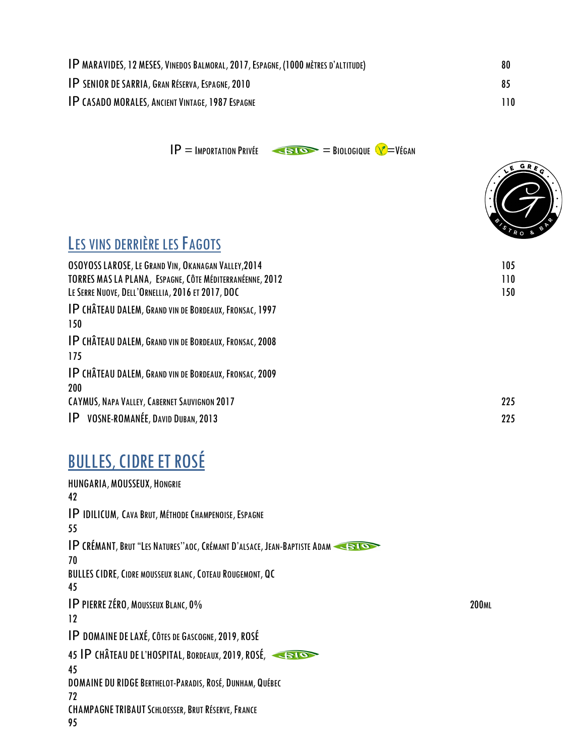| <b>IP MARAVIDES, 12 MESES, VINEDOS BALMORAL, 2017, ESPAGNE, (1000 MÈTRES D'ALTITUDE)</b> | 80  |
|------------------------------------------------------------------------------------------|-----|
| <b>IP SENIOR DE SARRIA, GRAN RÉSERVA, ESPAGNE, 2010</b>                                  | 85  |
| <b>IP CASADO MORALES, ANCIENT VINTAGE, 1987 ESPAGNE</b>                                  | 110 |

 $IP =$ IMPORTATION PRIVÉE  $=$ BIOLOGIQUE  $\sqrt{ }$ =VÉGAN



#### LES VINS DERRIÈRE LES FAGOTS

| OSOYOSS LAROSE, LE GRAND VIN, OKANAGAN VALLEY, 2014           | 105 |
|---------------------------------------------------------------|-----|
| TORRES MAS LA PLANA, ESPAGNE, CÔTE MÉDITERRANÉENNE, 2012      | 110 |
| LE SERRE NUOVE, DELL'ORNELLIA, 2016 ET 2017, DOC              | 150 |
| <b>IP CHÂTEAU DALEM, GRAND VIN DE BORDEAUX, FRONSAC, 1997</b> |     |
| 150                                                           |     |
| <b>IP CHÂTEAU DALEM, GRAND VIN DE BORDEAUX, FRONSAC, 2008</b> |     |
| 175                                                           |     |
| IP CHÂTEAU DALEM, GRAND VIN DE BORDEAUX, FRONSAC, 2009        |     |
| 200                                                           |     |
| CAYMUS, NAPA VALLEY, CABERNET SAUVIGNON 2017                  | 225 |
| <b>IP</b> VOSNE-ROMANÉE, DAVID DUBAN, 2013                    | 225 |

## **BULLES, CIDRE ET ROSÉ**

| HUNGARIA, MOUSSEUX, HONGRIE<br>42                                       |              |
|-------------------------------------------------------------------------|--------------|
| IP IDILICUM, CAVA BRUT, MÉTHODE CHAMPENOISE, ESPAGNE                    |              |
| 55                                                                      |              |
| IP CRÉMANT, BRUT "LES NATURES"AOC, CRÉMANT D'ALSACE, JEAN-BAPTISTE ADAM |              |
| 70                                                                      |              |
| <b>BULLES CIDRE, CIDRE MOUSSEUX BLANC, COTEAU ROUGEMONT, QC</b>         |              |
| 45                                                                      |              |
| <b>IP PIERRE ZÉRO, MOUSSEUX BLANC, 0%</b>                               | <b>200ML</b> |
| 12                                                                      |              |
| IP DOMAINE DE LAXÉ, CÔTES DE GASCOGNE, 2019, ROSÉ                       |              |
| 45 IP CHÂTEAU DE L'HOSPITAL, BORDEAUX, 2019, ROSÉ,                      |              |
| 45                                                                      |              |
| DOMAINE DU RIDGE BERTHELOT-PARADIS, ROSÉ, DUNHAM, QUÉBEC                |              |
| 72                                                                      |              |
| <b>CHAMPAGNE TRIBAUT SCHLOESSER, BRUT RÉSERVE, FRANCE</b>               |              |
| 95                                                                      |              |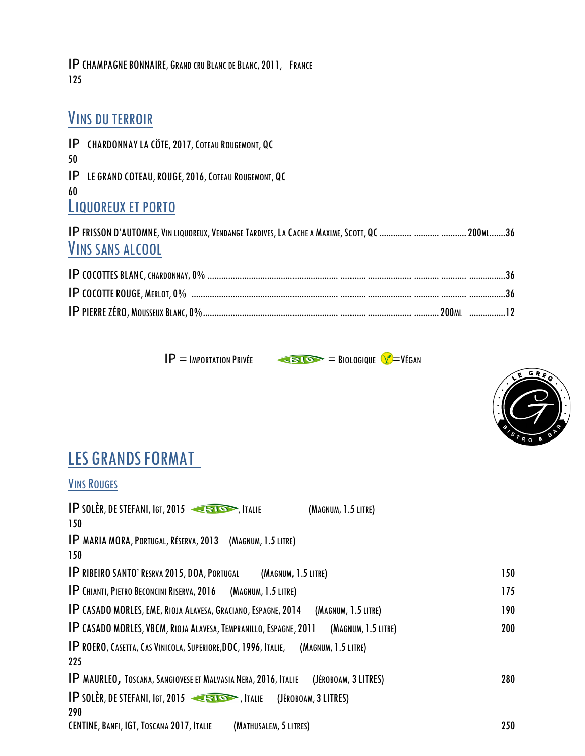IPCHAMPAGNEBONNAIRE, GRAND CRU BLANC DE BLANC,2011, FRANCE 125

#### VINS DU TERROIR

IP CHARDONNAYLA CÖTE,2017,COTEAU ROUGEMONT, QC 50 IP LE GRAND COTEAU,ROUGE,2016,COTEAU ROUGEMONT, QC 60 LIQUOREUX ET PORTO IPFRISSON D'AUTOMNE,VIN LIQUOREUX,VENDANGE TARDIVES,LA CACHE A MAXIME,SCOTT, QC.............. ........... ...........200ML.......36

#### VINS SANS ALCOOL





#### LES GRANDS FORMAT

#### **VINS ROUGES**

| <b>IP SOLÈR, DE STEFANI, IGT, 2015</b><br>(MAGNUM, 1.5 LITRE)                                   |     |
|-------------------------------------------------------------------------------------------------|-----|
| 150                                                                                             |     |
| IP MARIA MORA, PORTUGAL, RÉSERVA, 2013 (MAGNUM, 1.5 LITRE)                                      |     |
| 150                                                                                             |     |
| <b>IP RIBEIRO SANTO' RESRVA 2015, DOA, PORTUGAL</b><br>(MAGNUM, 1.5 LITRE)                      | 150 |
| <b>IP CHIANTI, PIETRO BECONCINI RISERVA, 2016 (MAGNUM, 1.5 LITRE)</b>                           | 175 |
| IP CASADO MORLES, EME, RIOJA ALAVESA, GRACIANO, ESPAGNE, 2014<br>(MAGNUM, 1.5 LITRE)            | 190 |
| <b>IP CASADO MORLES, VBCM, RIOJA ALAVESA, TEMPRANILLO, ESPAGNE, 2011</b><br>(MAGNUM, 1.5 LITRE) | 200 |
| IP ROERO, CASETTA, CAS VINICOLA, SUPERIORE, DOC, 1996, ITALIE,<br>(MAGNUM, 1.5 LITRE)           |     |
| 225                                                                                             |     |
| IP MAURLEO, TOSCANA, SANGIOVESE ET MALVASIA NERA, 2016, ITALIE<br>(JÉROBOAM, 3 LITRES)          | 280 |
| $IP$ solèr, de Stefani, Igt, 2015<br>(JÉROBOAM, 3 LITRES)                                       |     |
| 290                                                                                             |     |
| CENTINE, BANFI, IGT, TOSCANA 2017, ITALIE<br>(MATHUSALEM, 5 LITRES)                             | 250 |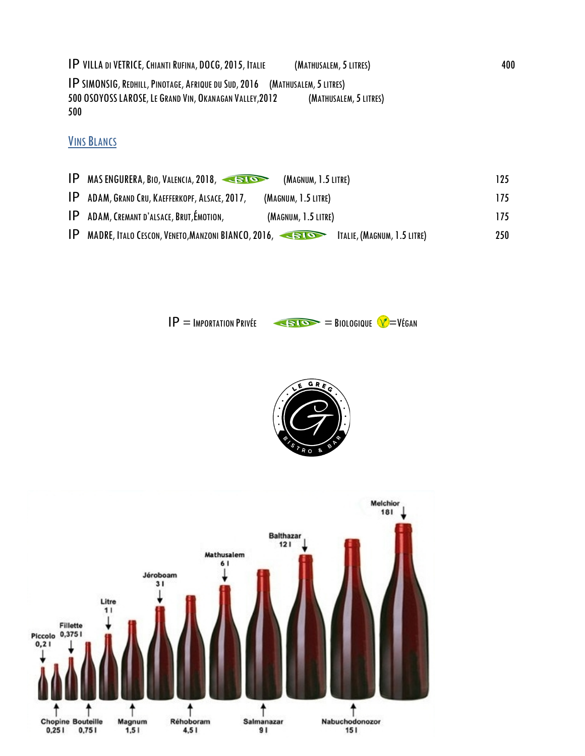IP VILLA DI VETRICE,CHIANTI RUFINA, DOCG,2015, ITALIE (MATHUSALEM,5LITRES) 400

IPSIMONSIG,REDHILL,PINOTAGE, AFRIQUE DU SUD,2016 (MATHUSALEM,5LITRES) 500 OSOYOSSLAROSE,LE GRAND VIN, OKANAGAN VALLEY,2012 (MATHUSALEM,5LITRES) 500

**VINS BLANCS** 

|     | IP MAS ENGURERA, BIO, VALENCIA, 2018,<br>(MAGNUM, 1.5 LITRE)                                           | 125 |
|-----|--------------------------------------------------------------------------------------------------------|-----|
|     | IP ADAM, GRAND CRU, KAEFFERKOPF, ALSACE, 2017,<br>(MAGNUM, 1.5 LITRE)                                  | 175 |
|     | <b>IP</b> ADAM, CREMANT D'ALSACE, BRUT, ÉMOTION,<br>(MAGNUM, 1.5 LITRE)                                | 175 |
| IP. | MADRE, ITALO CESCON, VENETO, MANZONI BIANCO, 2016, $\overline{\bullet}$<br>ITALIE, (MAGNUM, 1.5 LITRE) | 250 |

 $IP =$ IMPORTATION PRIVÉE  $\leftarrow$ BIO $\rightarrow$  BIOLOGIQUE  $VI = VI$ ÉGAN